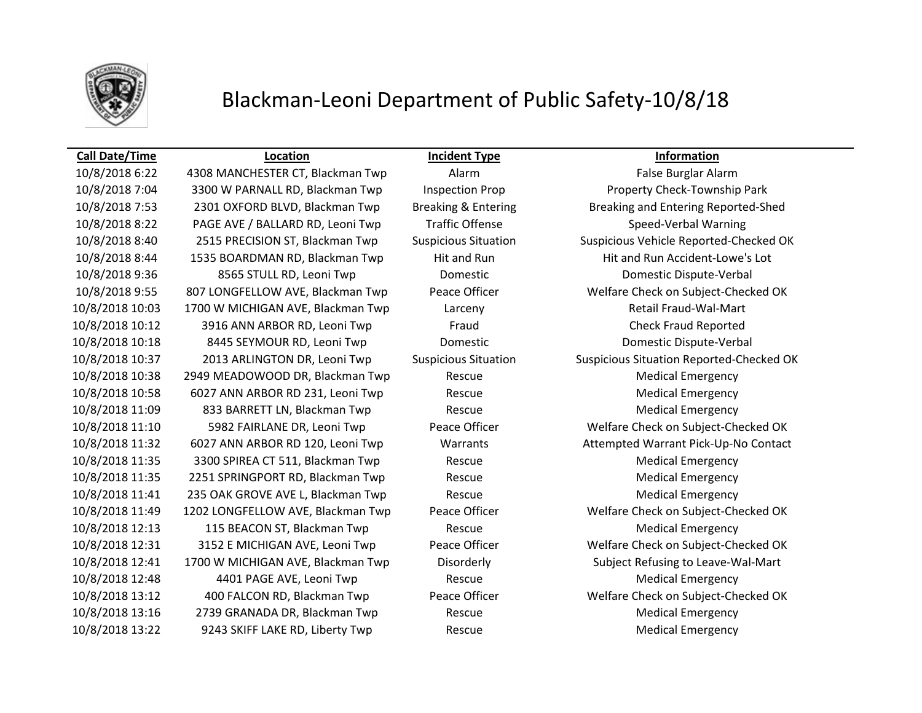

## Blackman-Leoni Department of Public Safety-10/8/18

10/8/2018 6:22 4308 MANCHESTER CT, Blackman Twp Alarm False Burglar Alarm 10/8/2018 7:04 3300 W PARNALL RD, Blackman Twp Inspection Prop Property Check-Township Park 10/8/2018 7:53 2301 OXFORD BLVD, Blackman Twp Breaking & Entering Breaking and Entering Reported-Shed 10/8/2018 8:22 PAGE AVE / BALLARD RD, Leoni Twp Traffic Offense Speed-Verbal Warning 10/8/2018 8:44 1535 BOARDMAN RD, Blackman Twp Hit and Run Hit and Run Accident-Lowe's Lot 10/8/2018 9:36 8565 STULL RD, Leoni Twp Domestic Domestic Dispute-Verbal 10/8/2018 9:55 807 LONGFELLOW AVE, Blackman Twp Peace Officer Welfare Check on Subject-Checked OK 10/8/2018 10:03 1700 W MICHIGAN AVE, Blackman Twp Larceny Retail Fraud-Wal-Mart 10/8/2018 10:12 3916 ANN ARBOR RD, Leoni Twp Fraud Check Fraud Reported 10/8/2018 10:18 8445 SEYMOUR RD, Leoni Twp Domestic Domestic Dispute-Verbal 10/8/2018 10:38 2949 MEADOWOOD DR, Blackman Twp Rescue Medical Emergency 10/8/2018 10:58 6027 ANN ARBOR RD 231, Leoni Twp Rescue Medical Emergency 10/8/2018 11:09 833 BARRETT LN, Blackman Twp Rescue Medical Emergency 10/8/2018 11:10 5982 FAIRLANE DR, Leoni Twp Peace Officer Welfare Check on Subject-Checked OK 10/8/2018 11:32 6027 ANN ARBOR RD 120, Leoni Twp Warrants Attempted Warrant Pick-Up-No Contact 10/8/2018 11:35 3300 SPIREA CT 511, Blackman Twp Rescue Medical Emergency 10/8/2018 11:35 2251 SPRINGPORT RD, Blackman Twp Rescue Medical Emergency 10/8/2018 11:41 235 OAK GROVE AVE L, Blackman Twp Rescue Rescue Medical Emergency 10/8/2018 11:49 1202 LONGFELLOW AVE, Blackman Twp Peace Officer Welfare Check on Subject-Checked OK 10/8/2018 12:13 115 BEACON ST, Blackman Twp Rescue Medical Emergency 10/8/2018 12:31 3152 E MICHIGAN AVE, Leoni Twp Peace Officer Welfare Check on Subject-Checked OK 10/8/2018 12:41 1700 W MICHIGAN AVE, Blackman Twp Disorderly Subject Refusing to Leave-Wal-Mart 10/8/2018 12:48 4401 PAGE AVE, Leoni Twp Rescue Medical Emergency 10/8/2018 13:12 400 FALCON RD, Blackman Twp Peace Officer Welfare Check on Subject-Checked OK

**Call Date/Time Location Incident Type Information**

10/8/2018 8:40 2515 PRECISION ST, Blackman Twp Suspicious Situation Suspicious Vehicle Reported-Checked OK 10/8/2018 10:37 2013 ARLINGTON DR, Leoni Twp Suspicious Situation Suspicious Situation Reported-Checked OK 10/8/2018 13:16 2739 GRANADA DR, Blackman Twp Rescue Medical Emergency 10/8/2018 13:22 9243 SKIFF LAKE RD, Liberty Twp Rescue Rescue Medical Emergency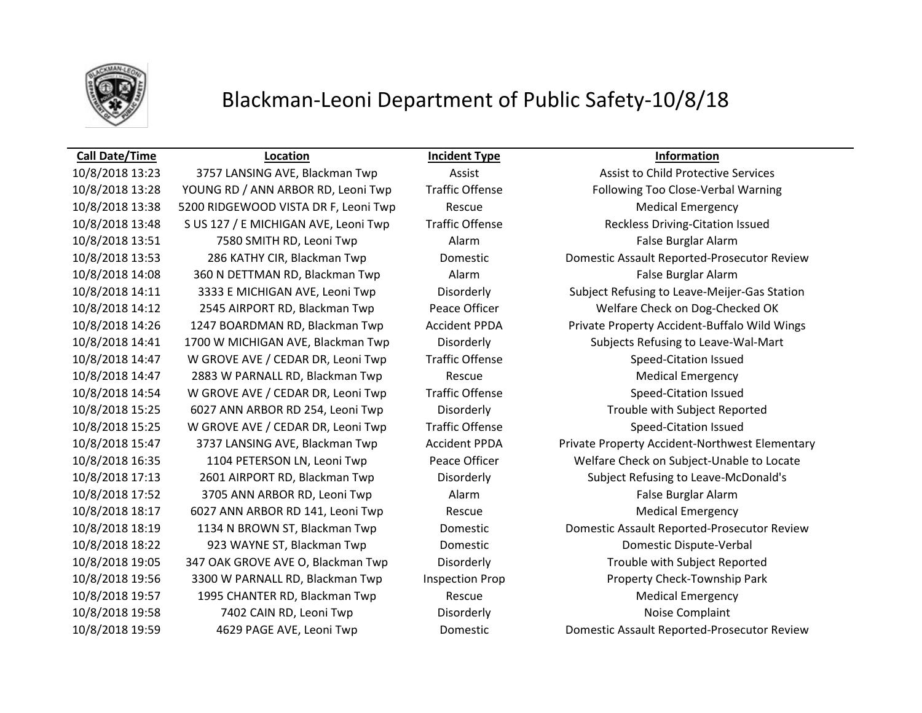

## Blackman-Leoni Department of Public Safety-10/8/18

### **Call Date/Time Location Incident Type Information**

10/8/2018 13:23 3757 LANSING AVE, Blackman Twp Assist Assist Assist to Child Protective Services 10/8/2018 13:38 5200 RIDGEWOOD VISTA DR F, Leoni Twp Rescue Rescue Medical Emergency 10/8/2018 13:48 S US 127 / E MICHIGAN AVE, Leoni Twp Traffic Offense Reckless Driving-Citation Issued

10/8/2018 14:08 360 N DETTMAN RD, Blackman Twp Alarm Alarm False Burglar Alarm 10/8/2018 14:47 W GROVE AVE / CEDAR DR, Leoni Twp Traffic Offense Speed-Citation Issued 10/8/2018 14:47 2883 W PARNALL RD, Blackman Twp Rescue Medical Emergency 10/8/2018 14:54 W GROVE AVE / CEDAR DR, Leoni Twp Traffic Offense Speed-Citation Issued 10/8/2018 15:25 W GROVE AVE / CEDAR DR, Leoni Twp Traffic Offense Speed-Citation Issued 10/8/2018 17:52 3705 ANN ARBOR RD, Leoni Twp Alarm False Burglar Alarm 10/8/2018 18:17 6027 ANN ARBOR RD 141, Leoni Twp Rescue Rescue Medical Emergency 10/8/2018 18:22 923 WAYNE ST, Blackman Twp Domestic Domestic Dispute-Verbal 10/8/2018 19:57 1995 CHANTER RD, Blackman Twp Rescue Medical Emergency 10/8/2018 19:58 7402 CAIN RD, Leoni Twp Disorderly Noise Complaint 10/8/2018 19:59 4629 PAGE AVE, Leoni Twp Domestic Domestic Assault Reported-Prosecutor Review

10/8/2018 13:28 YOUNG RD / ANN ARBOR RD, Leoni Twp Traffic Offense Following Too Close-Verbal Warning 10/8/2018 13:51 7580 SMITH RD, Leoni Twp Alarm False Burglar Alarm 10/8/2018 13:53 286 KATHY CIR, Blackman Twp Domestic Domestic Assault Reported-Prosecutor Review 10/8/2018 14:11 3333 E MICHIGAN AVE, Leoni Twp Disorderly Subject Refusing to Leave-Meijer-Gas Station 10/8/2018 14:12 2545 AIRPORT RD, Blackman Twp Peace Officer Welfare Check on Dog-Checked OK 10/8/2018 14:26 1247 BOARDMAN RD, Blackman Twp Accident PPDA Private Property Accident-Buffalo Wild Wings 10/8/2018 14:41 1700 W MICHIGAN AVE, Blackman Twp Disorderly Subjects Refusing to Leave-Wal-Mart 10/8/2018 15:25 6027 ANN ARBOR RD 254, Leoni Twp Disorderly Trouble with Subject Reported 10/8/2018 15:47 3737 LANSING AVE, Blackman Twp Accident PPDA Private Property Accident-Northwest Elementary 10/8/2018 16:35 1104 PETERSON LN, Leoni Twp Peace Officer Welfare Check on Subject-Unable to Locate 10/8/2018 17:13 2601 AIRPORT RD, Blackman Twp Disorderly Subject Refusing to Leave-McDonald's 10/8/2018 18:19 1134 N BROWN ST, Blackman Twp Domestic Domestic Assault Reported-Prosecutor Review 10/8/2018 19:05 347 OAK GROVE AVE O, Blackman Twp Disorderly Trouble with Subject Reported 10/8/2018 19:56 3300 W PARNALL RD, Blackman Twp Inspection Prop Property Check-Township Park